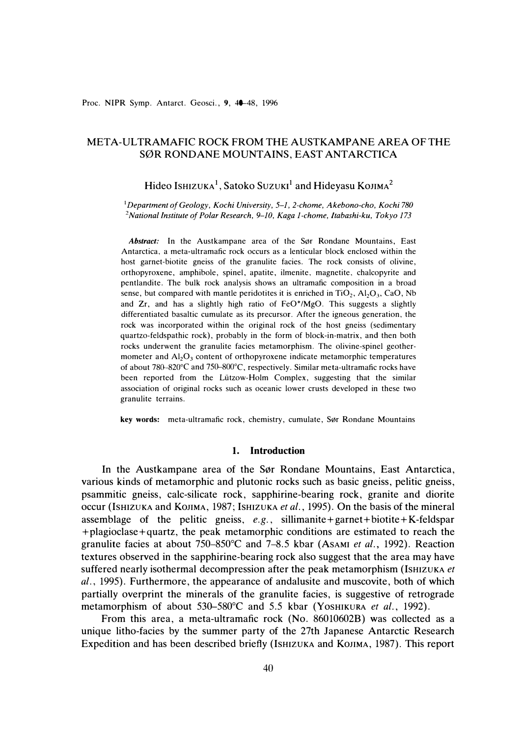# META-ULTRAMAFIC ROCK FROM THE AUSTKAMPANE AREA OF THE S0R RONDANE MOUNTAINS, EAST ANTARCTICA

# Hideo Is $H$ izuka<sup>1</sup>, Satoko Suzuki<sup>1</sup> and Hideyasu Kojima<sup>2</sup>

<sup>1</sup>*Department of Geology, Kochi University, 5-1, 2-chome, Akebono-cho, Kochi 780 <sup>2</sup>National Institute of Polar Research, 9-10, Kaga 1-chome, ltabashi-ku, Tokyo 173* 

*Abstract:* In the Austkampane area of the Sør Rondane Mountains, East Antarctica, a meta-ultramafic rock occurs as a lenticular block enclosed within the host garnet-biotite gneiss of the granulite facies. The rock consists of olivine, orthopyroxene, amphibole, spine!, apatite, ilmenite, magnetite, chalcopyrite and pentlandite. The bulk rock analysis shows an ultramafic composition in a broad sense, but compared with mantle peridotites it is enriched in  $TiO<sub>2</sub>$ ,  $Al<sub>2</sub>O<sub>3</sub>$ , CaO, Nb and  $Zr$ , and has a slightly high ratio of  $FeO<sup>*</sup>/MgO$ . This suggests a slightly differentiated basaltic cumulate as its precursor. After the igneous generation, the rock was incorporated within the original rock of the host gneiss (sedimentary quartzo-feldspathic rock), probably in the form of block-in-matrix, and then both rocks underwent the granulite facies metamorphism. The olivine-spine! geothermometer and  $Al_2O_3$  content of orthopyroxene indicate metamorphic temperatures of about 780-820°C and 750-800°C, respectively. Similar meta-ultramafic rocks have been reported from the Liitzow-Holm Complex, suggesting that the similar association of original rocks such as oceanic lower crusts developed in these two granulite terrains.

**key words:** meta-ultramafic rock, chemistry, cumulate, Sør Rondane Mountains

### **1. Introduction**

In the Austkampane area of the Sør Rondane Mountains, East Antarctica, various kinds of metamorphic and plutonic rocks such as basic gneiss, pelitic gneiss, psammitic gneiss, calc-silicate rock, sapphirine-bearing rock, granite and diorite occur (IsHIZUKA and KOJIMA, 1987; IsmzuKA *et al.,* 1995). On the basis of the mineral assemblage of the pelitic gneiss, *e.g.,* sillimanite+ garnet+ biotite+ K-feldspar +plagioclase+quartz, the peak metamorphic conditions are estimated to reach the granulite facies at about 750-850°C and 7-8.5 kbar (AsAMI *et al.,* 1992). Reaction textures observed in the sapphirine-bearing rock also suggest that the area may have suffered nearly isothermal decompression after the peak metamorphism (IsmzuKA *et al.,* 1995). Furthermore, the appearance of andalusite and muscovite, both of which partially overprint the minerals of the granulite facies, is suggestive of retrograde metamorphism of about 530-580°C and 5.5 kbar (YosHIKURA et al., 1992).

From this area, a meta-ultramafic rock (No. 86010602B) was collected as a unique litho-facies by the summer party of the 27th Japanese Antarctic Research Expedition and has been described briefly (Ishizuka and KOJIMA, 1987). This report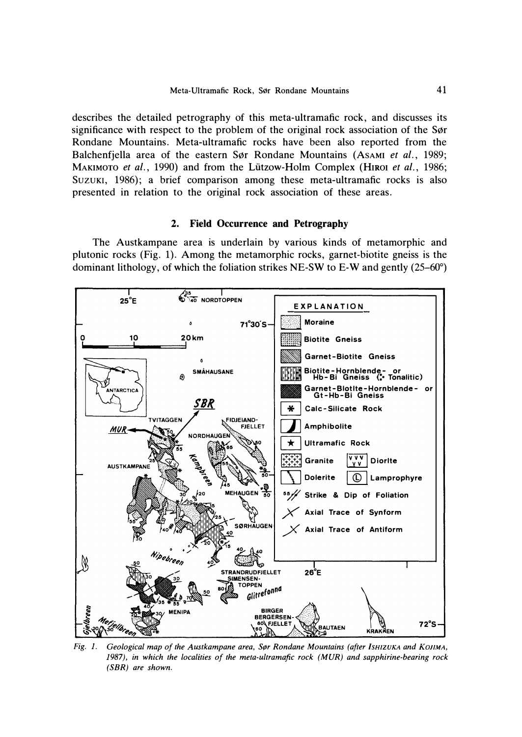describes the detailed petrography of this meta-ultramafic rock, and discusses its significance with respect to the problem of the original rock association of the Sør Rondane Mountains. Meta-ultramafic rocks have been also reported from the Balchenfjella area of the eastern Sør Rondane Mountains (AsAMI *et al.*, 1989; MAKIMOTO *et al.,* 1990) and from the Liitzow-Holm Complex (HIROI *et al.,* 1986; Suzuki, 1986); a brief comparison among these meta-ultramafic rocks is also presented in relation to the original rock association of these areas.

# **2. Field Occurrence and Petrography**

The Austkampane area is underlain by various kinds of metamorphic and plutonic rocks (Fig. 1). Among the metamorphic rocks, garnet-biotite gneiss is the dominant lithology, of which the foliation strikes NE-SW to E-W and gently  $(25-60^{\circ})$ 



*1987), in which the localities of the meta-ultramafic rock (MUR) and sapphirine-bearing rock (SBR) are shown.*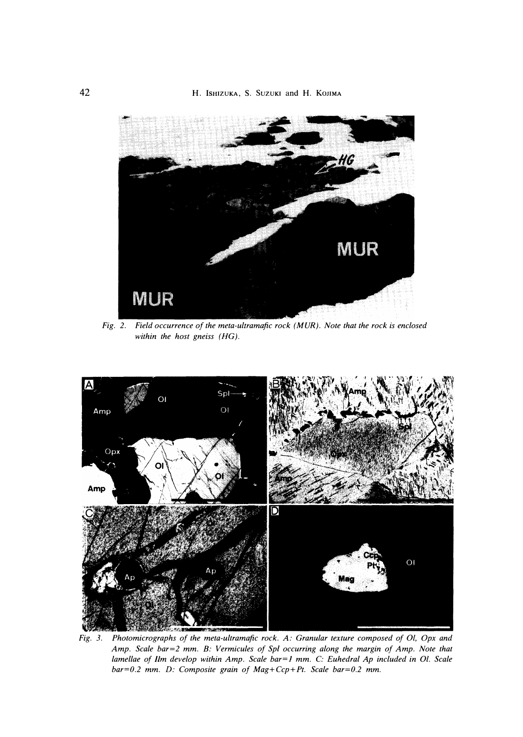

*Fig. 2. Field occurrence of the meta-ultramafic rock (MUR). Note that the rock is enclosed within the host gneiss (HG).* 



*Fig. 3. Photomicrographs of the meta-ultramafic rock. A: Granular texture composed of 01, Opx and Amp. Scale bar <sup>=</sup>2 mm. B: Vermicules of Sp/ occurring along the margin of Amp. Note that lamellae of Ilm develop within Amp. Scale bar=1 mm. C: Euhedral Ap included in Ol. Scale bar <sup>=</sup> 0.2 mm. D: Composite grain of Mag+Ccp+Pt. Scale bar<sup>=</sup> 0.2 mm.*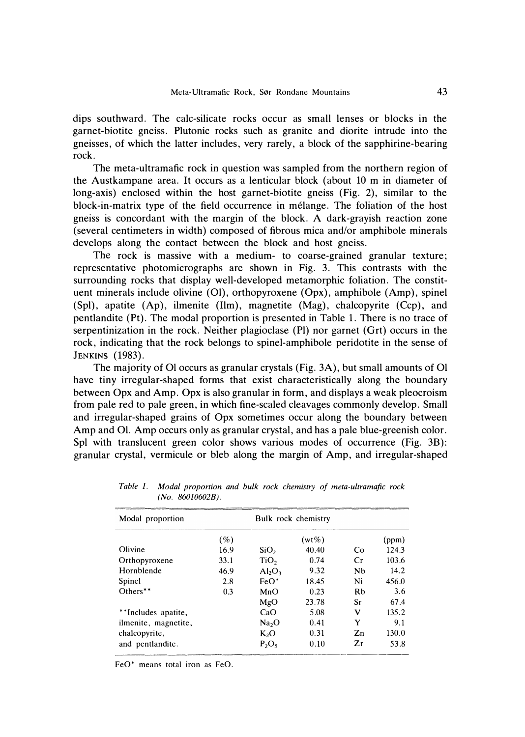dips southward. The calc-silicate rocks occur as small lenses or blocks in the garnet-biotite gneiss. Plutonic rocks such as granite and diorite intrude into the gneisses, of which the latter includes, very rarely, a block of the sapphirine-bearing rock.

The meta-ultramafic rock in question was sampled from the northern region of the Austkampane area. It occurs as a lenticular block ( about 10 m in diameter of long-axis) enclosed within the host garnet-biotite gneiss (Fig. 2), similar to the block-in-matrix type of the field occurrence in melange. The foliation of the host gneiss is concordant with the margin of the block. A dark-grayish reaction zone (several centimeters in width) composed of fibrous mica and/or amphibole minerals develops along the contact between the block and host gneiss.

The rock is massive with a medium- to coarse-grained granular texture; representative photomicrographs are shown in Fig. 3. This contrasts with the surrounding rocks that display well-developed metamorphic foliation. The constituent minerals include olivine (01), orthopyroxene (Opx), amphibole (Amp), spinel (Spl), apatite (Ap), ilmenite (Ilm), magnetite (Mag), chalcopyrite (Ccp), and pentlandite (Pt). The modal proportion is presented in Table 1. There is no trace of serpentinization in the rock. Neither plagioclase (Pl) nor garnet (Grt) occurs in the rock, indicating that the rock belongs to spinel-amphibole peridotite in the sense of **JENKINS** (1983).

The majority of 01 occurs as granular crystals (Fig. 3A), but small amounts of 01 have tiny irregular-shaped forms that exist characteristically along the boundary between Opx and Amp. Opx is also granular in form, and displays a weak pleocroism from pale red to pale green, in which fine-scaled cleavages commonly develop. Small and irregular-shaped grains of Opx sometimes occur along the boundary between Amp and 01. Amp occurs only as granular crystal, and has a pale blue-greenish color. Spl with translucent green color shows various modes of occurrence (Fig. 3B): granular crystal, vermicule or bleb along the margin of Amp, and irregular-shaped

| Modal proportion     |      |                   | Bulk rock chemistry |           |       |  |  |
|----------------------|------|-------------------|---------------------|-----------|-------|--|--|
|                      | ( %) |                   | $(wt\%)$            |           | (ppm) |  |  |
| Olivine              | 16.9 | SiO <sub>2</sub>  | 40.40               | Co        | 124.3 |  |  |
| Orthopyroxene        | 33.1 | TiO <sub>2</sub>  | 0.74                | Cr        | 103.6 |  |  |
| Hornblende           | 46.9 | $Al_2O_3$         | 9.32                | <b>Nb</b> | 14.2  |  |  |
| Spinel               | 2.8  | $FeO*$            | 18.45               | Ni        | 456.0 |  |  |
| Others**             | 0.3  | MnO               | 0.23                | <b>Rb</b> | 3.6   |  |  |
|                      |      | MgO               | 23.78               | Sr        | 67.4  |  |  |
| **Includes apatite,  |      | CaO               | 5.08                | v         | 135.2 |  |  |
| ilmenite, magnetite, |      | Na <sub>2</sub> O | 0.41                | Y         | 9.1   |  |  |
| chalcopyrite,        |      | $K_2O$            | 0.31                | Zn        | 130.0 |  |  |
| and pentlandite.     |      | $P_2O_5$          | 0.10                | Zr        | 53.8  |  |  |

*Table 1. Modal proportion and bulk rock chemistry of meta-ultramafic rock (No. 86010602B).* 

FeO\* means total iron as FeO.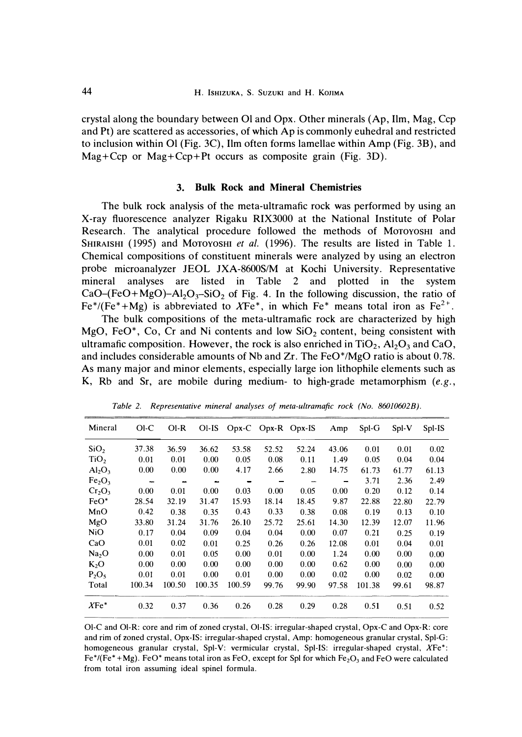crystal along the boundary between 01 and Opx. Other minerals (Ap, Ilm, Mag, Ccp and Pt) are scattered as accessories, of which Ap is commonly euhedral and restricted to inclusion within 01 (Fig. 3C), Ilm often forms lamellae within Amp (Fig. 3B), and Mag+Ccp or Mag+Ccp+ Pt occurs as composite grain (Fig. 3D).

# **3. Bulk Rock and Mineral Chemistries**

The bulk rock analysis of the meta-ultramafic rock was performed by using an X-ray fluorescence analyzer Rigaku RIX3000 at the National Institute of Polar Research. The analytical procedure followed the methods of MoTOYOSHI and SHIRAISHI (1995) and Motoyoshi *et al.* (1996). The results are listed in Table 1. Chemical compositions of constituent minerals were analyzed by using an electron probe microanalyzer JEOL JXA-8600S/M at Kochi University. Representative mineral analyses are listed in Table 2 and plotted in the system  $CaO-(FeO+MgO)-Al<sub>2</sub>O<sub>3</sub>-SiO<sub>2</sub>$  of Fig. 4. In the following discussion, the ratio of Fe<sup>\*</sup>/(Fe<sup>\*</sup>+Mg) is abbreviated to XFe<sup>\*</sup>, in which Fe<sup>\*</sup> means total iron as Fe<sup>2+</sup>.

The bulk compositions of the meta-ultramafic rock are characterized by high MgO, FeO<sup>\*</sup>, Co, Cr and Ni contents and low SiO<sub>2</sub> content, being consistent with ultramafic composition. However, the rock is also enriched in  $TiO<sub>2</sub>$ ,  $Al<sub>2</sub>O<sub>3</sub>$  and CaO, and includes considerable amounts of Nb and Zr. The FeO\*/MgO ratio is about 0.78. As many major and minor elements, especially large ion lithophile elements such as K, Rb and Sr, are mobile during medium- to high-grade metamorphism *(e.g.,* 

| Mineral                        | O <sub>1</sub> C | $O I - R$                | $OI-IS$                  |        | Opx-C Opx-R Opx-IS       |       | Amp   | Spl-G  | Spl-V | Spl-IS |
|--------------------------------|------------------|--------------------------|--------------------------|--------|--------------------------|-------|-------|--------|-------|--------|
| SiO <sub>2</sub>               | 37.38            | 36.59                    | 36.62                    | 53.58  | 52.52                    | 52.24 | 43.06 | 0.01   | 0.01  | 0.02   |
| TiO <sub>2</sub>               | 0.01             | 0.01                     | 0.00                     | 0.05   | 0.08                     | 0.11  | 1.49  | 0.05   | 0.04  | 0.04   |
| Al <sub>2</sub> O <sub>3</sub> | 0.00             | 0.00                     | 0.00                     | 4.17   | 2.66                     | 2.80  | 14.75 | 61.73  | 61.77 | 61.13  |
| Fe <sub>2</sub> O <sub>3</sub> | $\sim$           | $\overline{\phantom{a}}$ | $\overline{\phantom{a}}$ |        | $\overline{\phantom{0}}$ |       | -     | 3.71   | 2.36  | 2.49   |
| Cr <sub>2</sub> O <sub>3</sub> | 0.00             | 0.01                     | 0.00                     | 0.03   | 0.00                     | 0.05  | 0.00  | 0.20   | 0.12  | 0.14   |
| $FeO*$                         | 28.54            | 32.19                    | 31.47                    | 15.93  | 18.14                    | 18.45 | 9.87  | 22.88  | 22.80 | 22.79  |
| MnO                            | 0.42             | 0.38                     | 0.35                     | 0.43   | 0.33                     | 0.38  | 0.08  | 0.19   | 0.13  | 0.10   |
| MgO                            | 33.80            | 31.24                    | 31.76                    | 26.10  | 25.72                    | 25.61 | 14.30 | 12.39  | 12.07 | 11.96  |
| NiO                            | 0.17             | 0.04                     | 0.09                     | 0.04   | 0.04                     | 0.00  | 0.07  | 0.21   | 0.25  | 0.19   |
| CaO                            | 0.01             | 0.02                     | 0.01                     | 0.25   | 0.26                     | 0.26  | 12.08 | 0.01   | 0.04  | 0.01   |
| Na <sub>2</sub> O              | 0.00             | 0.01                     | 0.05                     | 0.00   | 0.01                     | 0.00  | 1.24  | 0.00   | 0.00  | 0.00   |
| $K_2O$                         | 0.00             | 0.00                     | 0.00                     | 0.00   | 0.00                     | 0.00  | 0.62  | 0.00   | 0.00  | 0.00   |
| $P_2O_5$                       | 0.01             | 0.01                     | 0.00                     | 0.01   | 0.00                     | 0.00  | 0.02  | 0.00   | 0.02  | 0.00   |
| Total                          | 100.34           | 100.50                   | 100.35                   | 100.59 | 99.76                    | 99.90 | 97.58 | 101.38 | 99.61 | 98.87  |
| $XFe*$                         | 0.32             | 0.37                     | 0.36                     | 0.26   | 0.28                     | 0.29  | 0.28  | 0.51   | 0.51  | 0.52   |

*Table 2. Representative mineral analyses of meta-ultramafic rock (No. 86010602B).* 

**Ol-C and Ol-R: core and rim of zoned crystal, Ol-IS: irregular-shaped crystal, Opx-C and Opx-R: core and rim of zoned crystal, Opx-IS: irregular-shaped crystal, Amp: homogeneous granular crystal, Spl-G: homogeneous granular crystal, Spl-V: vermicular crystal, Spl-IS: irregular-shaped crystal, XFe\*: Fe\*/(Fe\*** + **Mg). FeO\* means total iron as FeO, except for Spl for which Fe**2**03 and FeO were calculated from total iron assuming ideal spinel formula.**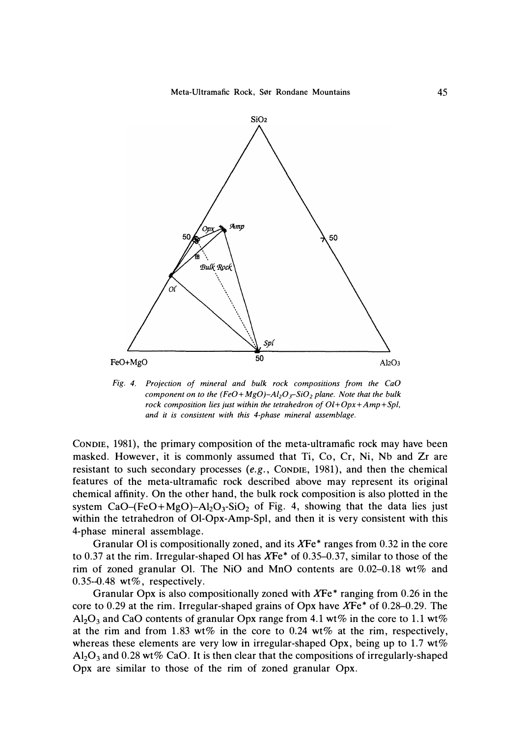

*Fig. 4. Projection of mineral and bulk rock compositions from the CaO component on to the (FeO+MgO)-Al*<sup>2</sup> $O$ <sub>*r*</sub>-SiO<sub>2</sub> *plane. Note that the bulk rock composition lies just within the tetrahedron of 0/+0px+Amp+Spl, and it is consistent with this 4-phase mineral assemblage.* 

CONDIE, 1981), the primary composition of the meta-ultramafic rock may have been masked. However, it is commonly assumed that Ti, Co, Cr, Ni, Nb and Zr are resistant to such secondary processes *(e.g.,* CONDIE, 1981), and then the chemical features of the meta-ultramafic rock described above may represent its original chemical affinity. On the other hand, the bulk rock composition is also plotted in the system  $CaO-(FeO+MgO)-Al<sub>2</sub>O<sub>3</sub>-SiO<sub>2</sub>$  of Fig. 4, showing that the data lies just within the tetrahedron of Ol-Opx-Amp-Spl, and then it is very consistent with this 4-phase mineral assemblage.

Granular 01 is compositionally zoned, and its *XFe\** ranges from 0.32 in the core to 0.37 at the rim. Irregular-shaped 01 has *XFe\** of 0.35-0.37, similar to those of the rim of zoned granular 01. The NiO and MnO contents are 0.02-0.18 wt% and  $0.35 - 0.48$  wt%, respectively.

Granular Opx is also compositionally zoned with *XFe* \* ranging from 0.26 in the core to 0.29 at the rim. Irregular-shaped grains of Opx have *XFe\** of 0.28-0.29. The Al<sub>2</sub>O<sub>3</sub> and CaO contents of granular Opx range from 4.1 wt% in the core to 1.1 wt% at the rim and from 1.83 wt% in the core to 0.24 wt% at the rim, respectively, whereas these elements are very low in irregular-shaped Opx, being up to 1.7  $wt\%$  $Al_2O_3$  and 0.28 wt% CaO. It is then clear that the compositions of irregularly-shaped Opx are similar to those of the rim of zoned granular Opx.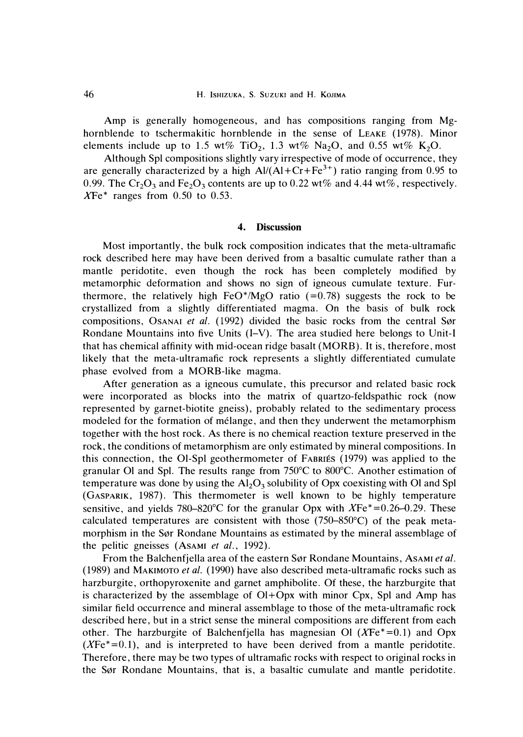46 **H. lsHIZUKA, S. SUZUKI** and **H. KOJIMA** 

Amp is generally homogeneous, and has compositions ranging from Mghornblende to tschermakitic hornblende in the sense of LEAKE (1978). Minor elements include up to 1.5 wt% TiO<sub>2</sub>, 1.3 wt% Na<sub>2</sub>O, and 0.55 wt% K<sub>2</sub>O.

Although Spl compositions slightly vary irrespective of mode of occurrence, they are generally characterized by a high  $AI/(AI+Cr+Fe^{3+})$  ratio ranging from 0.95 to 0.99. The Cr<sub>2</sub>O<sub>3</sub> and Fe<sub>2</sub>O<sub>3</sub> contents are up to 0.22 wt% and 4.44 wt%, respectively. *XFe\** ranges from 0.50 to 0.53.

## **4. Discussion**

Most importantly, the bulk rock composition indicates that the meta-ultramafic rock described here may have been derived from a basaltic cumulate rather than a mantle peridotite, even though the rock has been completely modified by metamorphic deformation and shows no sign of igneous cumulate texture. Furthermore, the relatively high FeO\*/MgO ratio  $(=0.78)$  suggests the rock to be crystallized from a slightly differentiated magma. On the basis of bulk rock compositions, Osanal *et al.* (1992) divided the basic rocks from the central Sør Rondane Mountains into five Units (I-V). The area studied here belongs to Unit-I that has chemical affinity with mid-ocean ridge basalt **(MORB).** It is, therefore, most likely that the meta-ultramafic rock represents a slightly differentiated cumulate phase evolved from a MORB-like magma.

After generation as a igneous cumulate, this precursor and related basic rock were incorporated as blocks into the matrix of quartzo-feldspathic rock (now represented by garnet-biotite gneiss), probably related to the sedimentary process modeled for the formation of melange, and then they underwent the metamorphism together with the host rock. As there is no chemical reaction texture preserved in the rock, the conditions of metamorphism are only estimated by mineral compositions. In this connection, the 01-Spl geothermometer of FABRIES (1979) was applied to the granular 01 and Spl. The results range from 750°C to 800°C. Another estimation of temperature was done by using the  $Al_2O_3$  solubility of Opx coexisting with Ol and Spl (GASPARIK, 1987). This thermometer is well known to be highly temperature sensitive, and yields 780–820°C for the granular Opx with  $XFe^* = 0.26-0.29$ . These calculated temperatures are consistent with those (750-850°C) of the peak metamorphism in the Sør Rondane Mountains as estimated by the mineral assemblage of the pelitic gneisses (AsAMI *et al.,* 1992).

From the Balchenfjella area of the eastern Sør Rondane Mountains, Asami et al. (1989) and MAKIMOTO *et al.* (1990) have also described meta-ultramafic rocks such as harzburgite, orthopyroxenite and garnet amphibolite. Of these, the harzburgite that is characterized by the assemblage of Ol+Opx with minor Cpx, Spl and Amp has similar field occurrence and mineral assemblage to those of the meta-ultramafic rock described here, but in a strict sense the mineral compositions are different from each other. The harzburgite of Balchenfjella has magnesian 01 *(XFe\** =0.1) and Opx  $(XFe^*=0.1)$ , and is interpreted to have been derived from a mantle peridotite. Therefore, there may be two types of ultramafic rocks with respect to original rocks in the Sør Rondane Mountains, that is, a basaltic cumulate and mantle peridotite.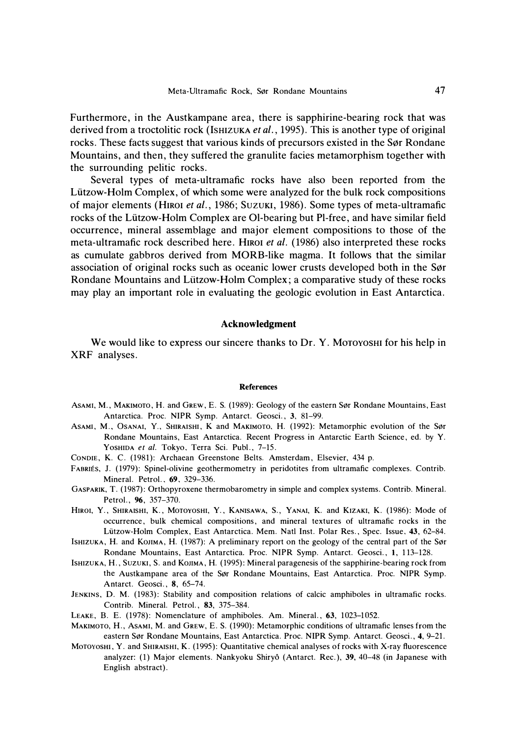Furthermore, in the Austkampane area, there is sapphirine-bearing rock that was derived from a troctolitic rock (IsHIZUKA *et al.,* 1995). This is another type of original rocks. These facts suggest that various kinds of precursors existed in the Sør Rondane Mountains, and then, they suffered the granulite facies metamorphism together with the surrounding pelitic rocks.

Several types of meta-ultramafic rocks have also been reported from the Liitzow-Holm Complex, of which some were analyzed for the bulk rock compositions of major elements (HIROI *et al.,* 1986; SuzuKI, 1986). Some types of meta-ultramafic rocks of the Liitzow-Holm Complex are 01-bearing but Pl-free, and have similar field occurrence, mineral assemblage and major element compositions to those of the meta-ultramafic rock described here. HIROI *et al.* (1986) also interpreted these rocks as cumulate gabbros derived from MORB-like magma. It follows that the similar association of original rocks such as oceanic lower crusts developed both in the Sør Rondane Mountains and Liitzow-Holm Complex ; a comparative study of these rocks may play an important role in evaluating the geologic evolution in East Antarctica.

# **Acknowledgment**

We would like to express our sincere thanks to Dr. Y. Moroyoshi for his help in XRF analyses.

#### **References**

- ASAMI, M., MAKIMOTO, H. and GREW, E. S. (1989): Geology of the eastern Sør Rondane Mountains, East Antarctica. Proc. **NIPR** Symp. Antarct. Geosci. , **3,** 81-99.
- ASAMI, M., OSANAI, Y., SHIRAISHI, K and MAKIMOTO, H. (1992): Metamorphic evolution of the Sør Rondane Mountains, East Antarctica. Recent Progress in Antarctic Earth Science , ed. by *Y.*  YOSHIDA et al. Tokyo, Terra Sci. Publ., 7-15.
- CONDIE, **K.** C. (1981): Archaean Greenstone Belts. Amsterdam, Elsevier, 434 p.
- FABRIES, J. (1979): Spinet-olivine geothermometry in peridotites from ultramafic complexes. Contrib. Mineral. Petrol. , *69,* 329-336.
- GASPARIK, T. (1987) : Orthopyroxene thermobarometry in simple and complex systems. Contrib. Mineral. Petrol., *96,* 357-370.
- HIROI, Y. , SHIRAISHI, **K.,** MOTOYOSHI, Y. , KANISAWA, S. , YANAI, K. and KIZAKI, **K.** (1986): Mode of occurrence, bulk chemical compositions, and mineral textures of ultramafic rocks in the Li.itzow-Holm Complex, East Antarctica. Mem. Natl Inst. Polar Res. , Spec. Issue, *43,* 62-84.
- lsHIZUKA, H. and KOJIMA, H. (1987): A preliminary report on the geology of the central part of the S0r Rondane Mountains, East Antarctica. Proc. **NIPR** Symp. Antarct. Geosci. , **1,** 1 13-128.
- IsHIZUKA, **H.,** SUZUKI, S. and KOJIMA , **H.** ( 1995): Mineral paragenesis of the sapphirine-bearing rock from the Austkampane area of the S0r Rondane Mountains, East Antarctica. Proc. **NIPR** Symp. Antarct. Geosci. , *8,* 65-74.
- JENKINS, D. M. (1983): Stability and composition relations of calcic amphiboles in ultramafic rocks. Contrib. Mineral. Petrol. , *83,* 375-384.
- LEAKE, B. E. (1978): Nomenclature of amphiboles. Am. Mineral. , *63,* 1023-1052.
- MAKIMOTO, H., ASAMI, M. and GREW, E. S. (1990): Metamorphic conditions of ultramafic lenses from the eastern Sør Rondane Mountains, East Antarctica. Proc. NIPR Symp. Antarct. Geosci., 4, 9-21.
- Mornvosm, Y. and SHIRAISHI, K. (1995): Quantitative chemical analyses of rocks with X-ray fluorescence analyzer: (1) Major elements. Nankyoku Shiryo (Antarct. Rec.), *39,* 40--48 (in Japanese with English abstract).